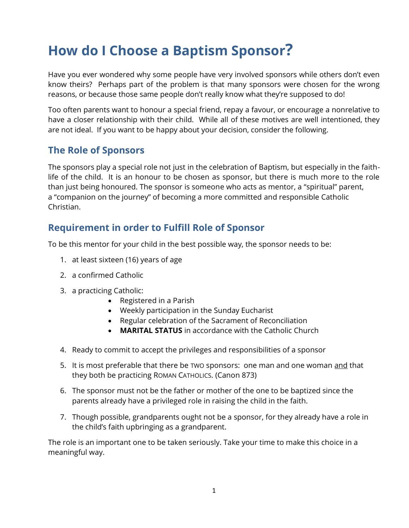## **How do I Choose a Baptism Sponsor?**

Have you ever wondered why some people have very involved sponsors while others don't even know theirs? Perhaps part of the problem is that many sponsors were chosen for the wrong reasons, or because those same people don't really know what they're supposed to do!

Too often parents want to honour a special friend, repay a favour, or encourage a nonrelative to have a closer relationship with their child. While all of these motives are well intentioned, they are not ideal. If you want to be happy about your decision, consider the following.

## **The Role of Sponsors**

The sponsors play a special role not just in the celebration of Baptism, but especially in the faithlife of the child. It is an honour to be chosen as sponsor, but there is much more to the role than just being honoured. The sponsor is someone who acts as mentor, a "spiritual" parent, a "companion on the journey" of becoming a more committed and responsible Catholic Christian.

## **Requirement in order to Fulfill Role of Sponsor**

To be this mentor for your child in the best possible way, the sponsor needs to be:

- 1. at least sixteen (16) years of age
- 2. a confirmed Catholic
- 3. a practicing Catholic:
	- Registered in a Parish
	- Weekly participation in the Sunday Eucharist
	- Regular celebration of the Sacrament of Reconciliation
	- **MARITAL STATUS** in accordance with the Catholic Church
- 4. Ready to commit to accept the privileges and responsibilities of a sponsor
- 5. It is most preferable that there be TWO sponsors: one man and one woman and that they both be practicing ROMAN CATHOLICS. (Canon 873)
- 6. The sponsor must not be the father or mother of the one to be baptized since the parents already have a privileged role in raising the child in the faith.
- 7. Though possible, grandparents ought not be a sponsor, for they already have a role in the child's faith upbringing as a grandparent.

The role is an important one to be taken seriously. Take your time to make this choice in a meaningful way.